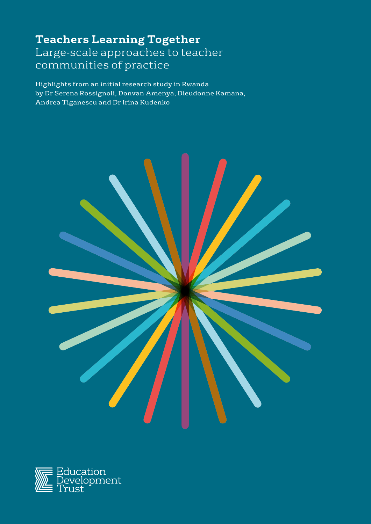## **Teachers Learning Together** Large-scale approaches to teacher communities of practice

Highlights from an initial research study in Rwanda by Dr Serena Rossignoli, Donvan Amenya, Dieudonne Kamana, Andrea Tiganescu and Dr Irina Kudenko



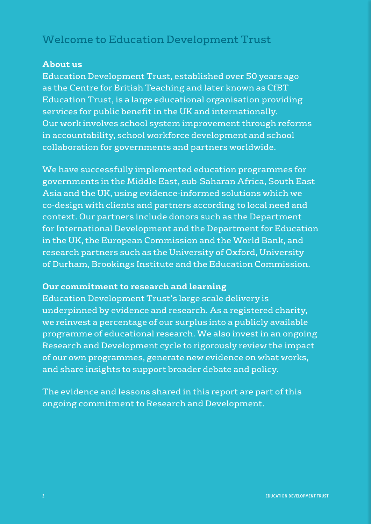## Welcome to Education Development Trust

### **About us**

Education Development Trust, established over 50 years ago as the Centre for British Teaching and later known as CfBT Education Trust, is a large educational organisation providing services for public benefit in the UK and internationally. Our work involves school system improvement through reforms in accountability, school workforce development and school collaboration for governments and partners worldwide.

We have successfully implemented education programmes for governments in the Middle East, sub-Saharan Africa, South East Asia and the UK, using evidence-informed solutions which we co-design with clients and partners according to local need and context. Our partners include donors such as the Department for International Development and the Department for Education in the UK, the European Commission and the World Bank, and research partners such as the University of Oxford, University of Durham, Brookings Institute and the Education Commission.

### **Our commitment to research and learning**

Education Development Trust's large scale delivery is underpinned by evidence and research. As a registered charity, we reinvest a percentage of our surplus into a publicly available programme of educational research. We also invest in an ongoing Research and Development cycle to rigorously review the impact of our own programmes, generate new evidence on what works, and share insights to support broader debate and policy.

The evidence and lessons shared in this report are part of this ongoing commitment to Research and Development.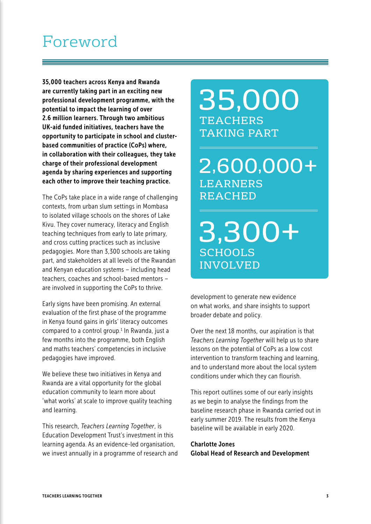# Foreword

35,000 teachers across Kenya and Rwanda are currently taking part in an exciting new professional development programme, with the potential to impact the learning of over 2.6 million learners. Through two ambitious UK-aid funded initiatives, teachers have the opportunity to participate in school and clusterbased communities of practice (CoPs) where, in collaboration with their colleagues, they take charge of their professional development agenda by sharing experiences and supporting each other to improve their teaching practice.

The CoPs take place in a wide range of challenging contexts, from urban slum settings in Mombasa to isolated village schools on the shores of Lake Kivu. They cover numeracy, literacy and English teaching techniques from early to late primary, and cross cutting practices such as inclusive pedagogies. More than 3,300 schools are taking part, and stakeholders at all levels of the Rwandan and Kenyan education systems – including head teachers, coaches and school-based mentors – are involved in supporting the CoPs to thrive.

Early signs have been promising. An external evaluation of the first phase of the programme in Kenya found gains in girls' literacy outcomes compared to a control group.<sup>1</sup> In Rwanda, just a few months into the programme, both English and maths teachers' competencies in inclusive pedagogies have improved.

We believe these two initiatives in Kenya and Rwanda are a vital opportunity for the global education community to learn more about 'what works' at scale to improve quality teaching and learning.

This research, *Teachers Learning Together*, is Education Development Trust's investment in this learning agenda. As an evidence-led organisation, we invest annually in a programme of research and  35,000 **TEACHERS** taking part

 2,600,000+ **LEARNERS REACHED** 

 3,300+ **SCHOOLS INVOLVED** 

development to generate new evidence on what works, and share insights to support broader debate and policy.

Over the next 18 months, our aspiration is that *Teachers Learning Together* will help us to share lessons on the potential of CoPs as a low cost intervention to transform teaching and learning, and to understand more about the local system conditions under which they can flourish.

This report outlines some of our early insights as we begin to analyse the findings from the baseline research phase in Rwanda carried out in early summer 2019. The results from the Kenya baseline will be available in early 2020.

Charlotte Jones Global Head of Research and Development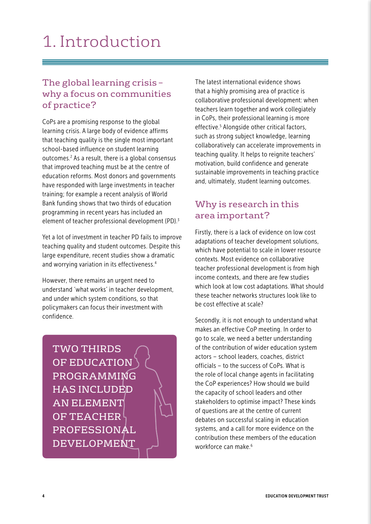# 1. Introduction

## The global learning crisis – why a focus on communities of practice?

CoPs are a promising response to the global learning crisis. A large body of evidence affirms that teaching quality is the single most important school-based influence on student learning outcomes.2 As a result, there is a global consensus that improved teaching must be at the centre of education reforms. Most donors and governments have responded with large investments in teacher training; for example a recent analysis of World Bank funding shows that two thirds of education programming in recent years has included an element of teacher professional development (PD).<sup>3</sup>

Yet a lot of investment in teacher PD fails to improve teaching quality and student outcomes. Despite this large expenditure, recent studies show a dramatic and worrying variation in its effectiveness.4

However, there remains an urgent need to understand 'what works' in teacher development, and under which system conditions, so that policymakers can focus their investment with confidence.

TWO THIRDS OF EDUCATION PROGRAMMING HAS INCLUDED AN ELEMENT OF TEACHER PROFESSIONAL DEVELOPMENT

The latest international evidence shows that a highly promising area of practice is collaborative professional development: when teachers learn together and work collegiately in CoPs, their professional learning is more effective.<sup>5</sup> Alongside other critical factors, such as strong subject knowledge, learning collaboratively can accelerate improvements in teaching quality. It helps to reignite teachers' motivation, build confidence and generate sustainable improvements in teaching practice and, ultimately, student learning outcomes.

## Why is research in this area important?

Firstly, there is a lack of evidence on low cost adaptations of teacher development solutions, which have potential to scale in lower resource contexts. Most evidence on collaborative teacher professional development is from high income contexts, and there are few studies which look at low cost adaptations. What should these teacher networks structures look like to be cost effective at scale?

Secondly, it is not enough to understand what makes an effective CoP meeting. In order to go to scale, we need a better understanding of the contribution of wider education system actors – school leaders, coaches, district officials – to the success of CoPs. What is the role of local change agents in facilitating the CoP experiences? How should we build the capacity of school leaders and other stakeholders to optimise impact? These kinds of questions are at the centre of current debates on successful scaling in education systems, and a call for more evidence on the contribution these members of the education workforce can make.<sup>6</sup>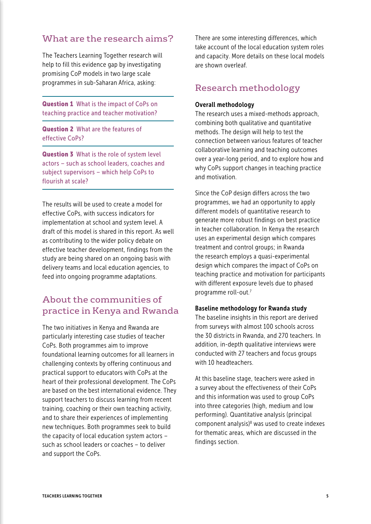### What are the research aims?

The Teachers Learning Together research will help to fill this evidence gap by investigating promising CoP models in two large scale programmes in sub-Saharan Africa, asking:

**Question 1** What is the impact of CoPs on teaching practice and teacher motivation?

Question 2 What are the features of effective CoPs?

**Question 3** What is the role of system level actors – such as school leaders, coaches and subject supervisors – which help CoPs to flourish at scale?

The results will be used to create a model for effective CoPs, with success indicators for implementation at school and system level. A draft of this model is shared in this report. As well as contributing to the wider policy debate on effective teacher development, findings from the study are being shared on an ongoing basis with delivery teams and local education agencies, to feed into ongoing programme adaptations.

## About the communities of practice in Kenya and Rwanda

The two initiatives in Kenya and Rwanda are particularly interesting case studies of teacher CoPs. Both programmes aim to improve foundational learning outcomes for all learners in challenging contexts by offering continuous and practical support to educators with CoPs at the heart of their professional development. The CoPs are based on the best international evidence. They support teachers to discuss learning from recent training, coaching or their own teaching activity, and to share their experiences of implementing new techniques. Both programmes seek to build the capacity of local education system actors – such as school leaders or coaches – to deliver and support the CoPs.

There are some interesting differences, which take account of the local education system roles and capacity. More details on these local models are shown overleaf.

#### Research methodology

#### Overall methodology

The research uses a mixed-methods approach, combining both qualitative and quantitative methods. The design will help to test the connection between various features of teacher collaborative learning and teaching outcomes over a year-long period, and to explore how and why CoPs support changes in teaching practice and motivation.

Since the CoP design differs across the two programmes, we had an opportunity to apply different models of quantitative research to generate more robust findings on best practice in teacher collaboration. In Kenya the research uses an experimental design which compares treatment and control groups; in Rwanda the research employs a quasi-experimental design which compares the impact of CoPs on teaching practice and motivation for participants with different exposure levels due to phased programme roll-out.7

#### Baseline methodology for Rwanda study

The baseline insights in this report are derived from surveys with almost 100 schools across the 30 districts in Rwanda, and 270 teachers. In addition, in-depth qualitative interviews were conducted with 27 teachers and focus groups with 10 headteachers.

At this baseline stage, teachers were asked in a survey about the effectiveness of their CoPs and this information was used to group CoPs into three categories (high, medium and low performing). Quantitative analysis (principal component analysis)<sup>8</sup> was used to create indexes for thematic areas, which are discussed in the findings section.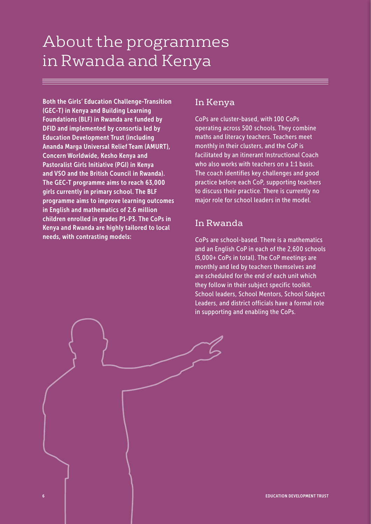# About the programmes in Rwanda and Kenya

Both the Girls' Education Challenge-Transition (GEC-T) in Kenya and Building Learning Foundations (BLF) in Rwanda are funded by DFID and implemented by consortia led by Education Development Trust (including Ananda Marga Universal Relief Team (AMURT), Concern Worldwide, Kesho Kenya and Pastoralist Girls Initiative (PGI) in Kenya and VSO and the British Council in Rwanda). The GEC-T programme aims to reach 63,000 girls currently in primary school. The BLF programme aims to improve learning outcomes in English and mathematics of 2.6 million children enrolled in grades P1-P3. The CoPs in Kenya and Rwanda are highly tailored to local needs, with contrasting models:

### In Kenya

CoPs are cluster-based, with 100 CoPs operating across 500 schools. They combine maths and literacy teachers. Teachers meet monthly in their clusters, and the CoP is facilitated by an itinerant Instructional Coach who also works with teachers on a 1:1 basis. The coach identifies key challenges and good practice before each CoP, supporting teachers to discuss their practice. There is currently no major role for school leaders in the model.

## In Rwanda

CoPs are school-based. There is a mathematics and an English CoP in each of the 2,600 schools (5,000+ CoPs in total). The CoP meetings are monthly and led by teachers themselves and are scheduled for the end of each unit which they follow in their subject specific toolkit. School leaders, School Mentors, School Subject Leaders, and district officials have a formal role in supporting and enabling the CoPs.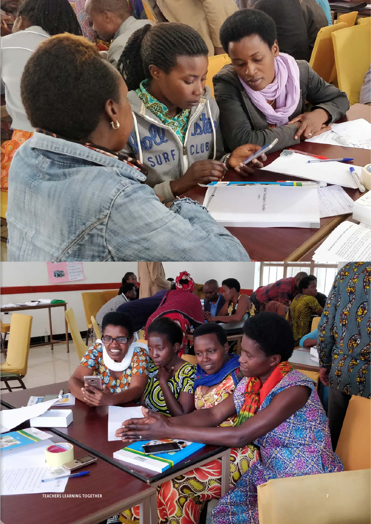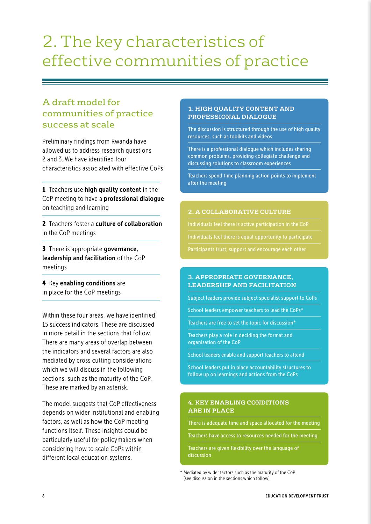# 2. The key characteristics of effective communities of practice

## A draft model for communities of practice success at scale

Preliminary findings from Rwanda have allowed us to address research questions 2 and 3. We have identified four characteristics associated with effective CoPs:

1 Teachers use high quality content in the CoP meeting to have a professional dialogue on teaching and learning

2 Teachers foster a culture of collaboration in the CoP meetings

**3** There is appropriate governance, leadership and facilitation of the CoP meetings

4 Key enabling conditions are in place for the CoP meetings

Within these four areas, we have identified 15 success indicators. These are discussed in more detail in the sections that follow. There are many areas of overlap between the indicators and several factors are also mediated by cross cutting considerations which we will discuss in the following sections, such as the maturity of the CoP. These are marked by an asterisk.

The model suggests that CoP effectiveness depends on wider institutional and enabling factors, as well as how the CoP meeting functions itself. These insights could be particularly useful for policymakers when considering how to scale CoPs within different local education systems.

#### **1. HIGH QUALITY CONTENT AND PROFESSIONAL DIALOGUE**

The discussion is structured through the use of high quality resources, such as toolkits and videos

There is a professional dialogue which includes sharing common problems, providing collegiate challenge and discussing solutions to classroom experiences

Teachers spend time planning action points to implement after the meeting

#### **2. A COLLABORATIVE CULTURE**

Individuals feel there is equal opportunity to participate

Participants trust, support and encourage each other

#### **3. APPROPRIATE GOVERNANCE, LEADERSHIP AND FACILITATION**

Subject leaders provide subject specialist support to CoPs

School leaders empower teachers to lead the CoPs\*

Teachers are free to set the topic for discussion\*

Teachers play a role in deciding the format and organisation of the CoP

School leaders enable and support teachers to attend

School leaders put in place accountability structures to follow up on learnings and actions from the CoPs

#### **4. KEY ENABLING CONDITIONS ARE IN PLACE**

There is adequate time and space allocated for the meeting

Teachers have access to resources needed for the meeting

Teachers are given flexibility over the language of discussion

\* Mediated by wider factors such as the maturity of the CoP (see discussion in the sections which follow)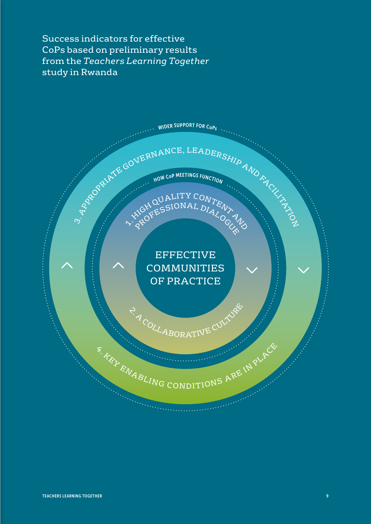Success indicators for effective CoPs based on preliminary results from the *Teachers Learning Together* study in Rwanda

WIDER SUPPORT FOR COPS

REAGULATE GOVERNANCE, LEADERSHIP AND FACILITY CONTENT AND FACILITY CONTENT AND FACILITY

**PROFESSIONAL DIALOGUES** HOW CoP MEETINGS FUNCTION

> **EFFECTIVE COMMUNITIES** OF PRACTICE

N COLLABORATIVE CULTURE

E. KEY ENABLING CONDITIONS ARE IN PLACE

TEACHERS LEARNING TOGETHER 9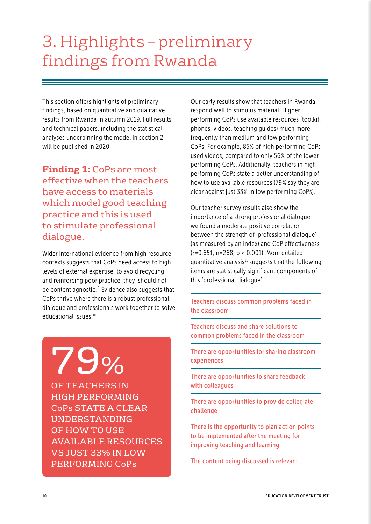# 3. Highlights – preliminary findings from Rwanda

This section offers highlights of preliminary findings, based on quantitative and qualitative results from Rwanda in autumn 2019. Full results and technical papers, including the statistical analyses underpinning the model in section 2, will be published in 2020.

**Finding 1:** CoPs are most effective when the teachers have access to materials which model good teaching practice and this is used to stimulate professional dialogue.

Wider international evidence from high resource contexts suggests that CoPs need access to high levels of external expertise, to avoid recycling and reinforcing poor practice: they 'should not be content agnostic.<sup>'9</sup> Evidence also suggests that CoPs thrive where there is a robust professional dialogue and professionals work together to solve educational issues.10

79% OF TEACHERS IN HIGH PERFORMING CoPs STATE A CLEAR UNDERSTANDING OF HOW TO USE AVAILABLE RESOURCES VS JUST 33% IN LOW PERFORMING CoPs

Our early results show that teachers in Rwanda respond well to stimulus material. Higher performing CoPs use available resources (toolkit, phones, videos, teaching guides) much more frequently than medium and low performing CoPs. For example, 85% of high performing CoPs used videos, compared to only 56% of the lower performing CoPs. Additionally, teachers in high performing CoPs state a better understanding of how to use available resources (79% say they are clear against just 33% in low performing CoPs).

Our teacher survey results also show the importance of a strong professional dialogue: we found a moderate positive correlation between the strength of 'professional dialogue' (as measured by an index) and CoP effectiveness (r=0.651; n=268; p < 0.001). More detailed quantitative analysis $11$  suggests that the following items are statistically significant components of this 'professional dialogue':

Teachers discuss common problems faced in the classroom

Teachers discuss and share solutions to common problems faced in the classroom

There are opportunities for sharing classroom experiences

There are opportunities to share feedback with colleagues

There are opportunities to provide collegiate challenge

There is the opportunity to plan action points to be implemented after the meeting for improving teaching and learning

The content being discussed is relevant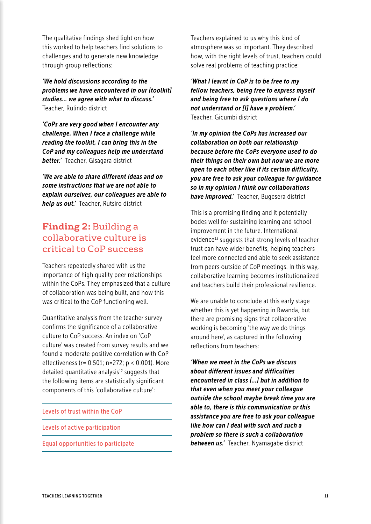The qualitative findings shed light on how this worked to help teachers find solutions to challenges and to generate new knowledge through group reflections:

*'We hold discussions according to the problems we have encountered in our [toolkit] studies… we agree with what to discuss.'* Teacher, Rulindo district

*'CoPs are very good when I encounter any challenge. When I face a challenge while reading the toolkit, I can bring this in the CoP and my colleagues help me understand better.'* Teacher, Gisagara district

*'We are able to share different ideas and on some instructions that we are not able to explain ourselves, our colleagues are able to help us out.'* Teacher, Rutsiro district

### **Finding 2:** Building a collaborative culture is critical to CoP success

Teachers repeatedly shared with us the importance of high quality peer relationships within the CoPs. They emphasized that a culture of collaboration was being built, and how this was critical to the CoP functioning well.

Quantitative analysis from the teacher survey confirms the significance of a collaborative culture to CoP success. An index on 'CoP culture' was created from survey results and we found a moderate positive correlation with CoP effectiveness (r= 0.501; n=272; p < 0.001). More detailed quantitative analysis $12$  suggests that the following items are statistically significant components of this 'collaborative culture':

Levels of trust within the CoP

Levels of active participation

Equal opportunities to participate

Teachers explained to us why this kind of atmosphere was so important. They described how, with the right levels of trust, teachers could solve real problems of teaching practice:

*'What I learnt in CoP is to be free to my fellow teachers, being free to express myself and being free to ask questions where I do not understand or [I] have a problem.'*  Teacher, Gicumbi district

*'In my opinion the CoPs has increased our collaboration on both our relationship because before the CoPs everyone used to do their things on their own but now we are more open to each other like if its certain difficulty, you are free to ask your colleague for guidance so in my opinion I think our collaborations have improved.'* Teacher, Bugesera district

This is a promising finding and it potentially bodes well for sustaining learning and school improvement in the future. International evidence<sup>13</sup> suggests that strong levels of teacher trust can have wider benefits, helping teachers feel more connected and able to seek assistance from peers outside of CoP meetings. In this way, collaborative learning becomes institutionalized and teachers build their professional resilience.

We are unable to conclude at this early stage whether this is yet happening in Rwanda, but there are promising signs that collaborative working is becoming 'the way we do things around here', as captured in the following reflections from teachers:

*'When we meet in the CoPs we discuss about different issues and difficulties encountered in class […] but in addition to that even when you meet your colleague outside the school maybe break time you are able to, there is this communication or this assistance you are free to ask your colleague like how can I deal with such and such a problem so there is such a collaboration between us.'* Teacher, Nyamagabe district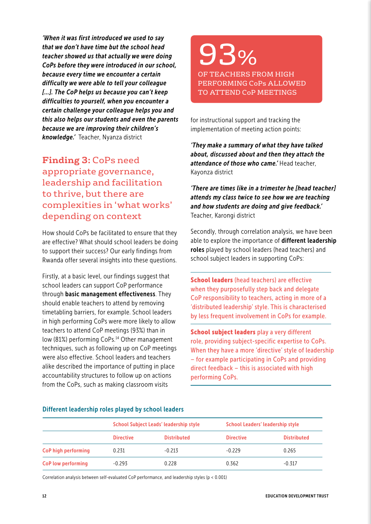*'When it was first introduced we used to say that we don't have time but the school head teacher showed us that actually we were doing CoPs before they were introduced in our school, because every time we encounter a certain difficulty we were able to tell your colleague […]. The CoP helps us because you can't keep difficulties to yourself, when you encounter a certain challenge your colleague helps you and this also helps our students and even the parents because we are improving their children's knowledge.'* Teacher, Nyanza district

## **Finding 3:** CoPs need appropriate governance, leadership and facilitation to thrive, but there are complexities in 'what works' depending on context

How should CoPs be facilitated to ensure that they are effective? What should school leaders be doing to support their success? Our early findings from Rwanda offer several insights into these questions.

Firstly, at a basic level, our findings suggest that school leaders can support CoP performance through basic management effectiveness. They should enable teachers to attend by removing timetabling barriers, for example. School leaders in high performing CoPs were more likely to allow teachers to attend CoP meetings (93%) than in low (81%) performing CoPs.14 Other management techniques, such as following up on CoP meetings were also effective. School leaders and teachers alike described the importance of putting in place accountability structures to follow up on actions from the CoPs, such as making classroom visits

93% OF TEACHERS FROM HIGH PERFORMING CoPs ALLOWED TO ATTEND CoP MEETINGS

for instructional support and tracking the implementation of meeting action points:

*'They make a summary of what they have talked about, discussed about and then they attach the attendance of those who came.'* Head teacher, Kayonza district

*'There are times like in a trimester he [head teacher] attends my class twice to see how we are teaching and how students are doing and give feedback.'* Teacher, Karongi district

Secondly, through correlation analysis, we have been able to explore the importance of different leadership roles played by school leaders (head teachers) and school subject leaders in supporting CoPs:

School leaders (head teachers) are effective when they purposefully step back and delegate CoP responsibility to teachers, acting in more of a 'distributed leadership' style. This is characterised by less frequent involvement in CoPs for example.

School subject leaders play a very different role, providing subject-specific expertise to CoPs. When they have a more 'directive' style of leadership – for example participating in CoPs and providing direct feedback – this is associated with high performing CoPs.

#### Different leadership roles played by school leaders

|                           | <b>School Subject Leads' leadership style</b> |                    | School Leaders' leadership style |                    |
|---------------------------|-----------------------------------------------|--------------------|----------------------------------|--------------------|
|                           | <b>Directive</b>                              | <b>Distributed</b> | <b>Directive</b>                 | <b>Distributed</b> |
| CoP high performing       | 0.231                                         | $-0.213$           | $-0.229$                         | 0.265              |
| <b>CoP low performing</b> | $-0.293$                                      | 0.228              | 0.362                            | $-0.317$           |

Correlation analysis between self-evaluated CoP performance, and leadership styles (p < 0.001)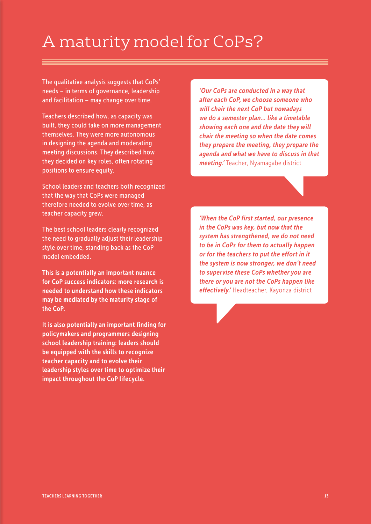# A maturity model for CoPs?

The qualitative analysis suggests that CoPs' needs – in terms of governance, leadership and facilitation – may change over time.

Teachers described how, as capacity was built, they could take on more management themselves. They were more autonomous in designing the agenda and moderating meeting discussions. They described how they decided on key roles, often rotating positions to ensure equity.

School leaders and teachers both recognized that the way that CoPs were managed therefore needed to evolve over time, as teacher capacity grew.

The best school leaders clearly recognized the need to gradually adjust their leadership style over time, standing back as the CoP model embedded.

This is a potentially an important nuance for CoP success indicators: more research is needed to understand how these indicators may be mediated by the maturity stage of the CoP.

It is also potentially an important finding for policymakers and programmers designing school leadership training: leaders should be equipped with the skills to recognize teacher capacity and to evolve their leadership styles over time to optimize their impact throughout the CoP lifecycle.

*'Our CoPs are conducted in a way that after each CoP, we choose someone who will chair the next CoP but nowadays we do a semester plan… like a timetable showing each one and the date they will chair the meeting so when the date comes they prepare the meeting, they prepare the agenda and what we have to discuss in that meeting.'* Teacher, Nyamagabe district

*'When the CoP first started, our presence in the CoPs was key, but now that the system has strengthened, we do not need to be in CoPs for them to actually happen or for the teachers to put the effort in it the system is now stronger, we don't need to supervise these CoPs whether you are there or you are not the CoPs happen like effectively.'* Headteacher, Kayonza district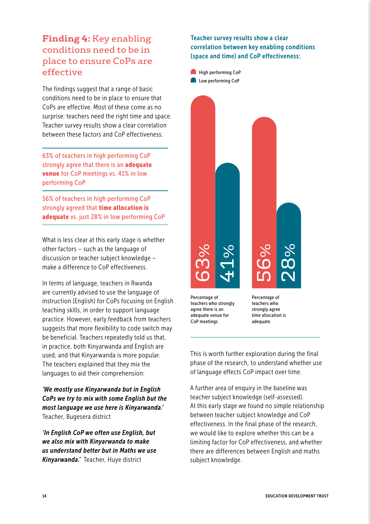## **Finding 4:** Key enabling conditions need to be in place to ensure CoPs are effective

The findings suggest that a range of basic conditions need to be in place to ensure that CoPs are effective. Most of these come as no surprise: teachers need the right time and space. Teacher survey results show a clear correlation between these factors and CoP effectiveness:

63% of teachers in high performing CoP strongly agree that there is an **adequate** venue for CoP meetings vs. 41% in low performing CoP

56% of teachers in high performing CoP strongly agreed that **time allocation is** adequate vs. just 28% in low performing CoP

What is less clear at this early stage is whether other factors – such as the language of discussion or teacher subject knowledge – make a difference to CoP effectiveness.

In terms of language, teachers in Rwanda are currently advised to use the language of instruction (English) for CoPs focusing on English teaching skills, in order to support language practice. However, early feedback from teachers suggests that more flexibility to code switch may be beneficial. Teachers repeatedly told us that, in practice, both Kinyarwanda and English are used, and that Kinyarwanda is more popular. The teachers explained that they mix the languages to aid their comprehension:

*'We mostly use Kinyarwanda but in English CoPs we try to mix with some English but the most language we use here is Kinyarwanda.'*  Teacher, Bugesera district

*'In English CoP we often use English, but we also mix with Kinyarwanda to make us understand better but in Maths we use Kinyarwanda.'* Teacher, Huye district

#### Teacher survey results show a clear correlation between key enabling conditions (space and time) and CoP effectiveness:

High performing CoP **Low performing CoP** 



Percentage of teachers who strongly agree there is an adequate venue for CoP meetings

Percentage of teachers who strongly agree time allocation is adequate

This is worth further exploration during the final phase of the research, to understand whether use of language effects CoP impact over time.

A further area of enquiry in the baseline was teacher subject knowledge (self-assessed). At this early stage we found no simple relationship between teacher subject knowledge and CoP effectiveness. In the final phase of the research, we would like to explore whether this can be a limiting factor for CoP effectiveness, and whether there are differences between English and maths **Subsequentary of the Control Control Control Control Control Control Control Control Control Control Control Control Control Control Control Control Control Control Control Control Control Control Control Control Control**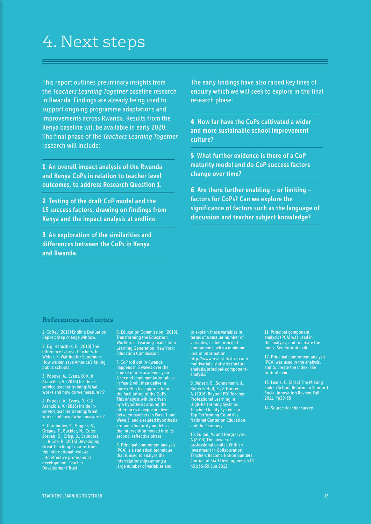# 4. Next steps

This report outlines preliminary insights from the *Teachers Learning Together* baseline research in Rwanda. Findings are already being used to support ongoing programme adaptations and improvements across Rwanda. Results from the Kenya baseline will be available in early 2020. The final phase of the *Teachers Learning Together* research will include:

1 An overall impact analysis of the Rwanda and Kenya CoPs in relation to teacher level outcomes, to address Research Question 1.

2 Testing of the draft CoP model and the 15 success factors, drawing on findings from Kenya and the impact analysis at endline.

3 An exploration of the similarities and differences between the CoPs in Kenya and Rwanda.

The early findings have also raised key lines of enquiry which we will seek to explore in the final research phase:

4 How far have the CoPs cultivated a wider and more sustainable school improvement culture?

5 What further evidence is there of a CoP maturity model and do CoP success factors change over time?

6 Are there further enabling  $-$  or limiting  $$ factors for CoPs? Can we explore the significance of factors such as the language of discussion and teacher subject knowledge?

#### **References and notes**

1. Coffey (2017) Endline Evaluation Report: Step change window.

2. E.g. Hanushek, E. (2010) The difference is great teachers. In Weber, K. Waiting for Superman: How we can save America's failing public schools.

3. Popova, A., Evans, D. K. & Arancibia, V. (2016) Inside inservice teacher training: What works and how do we measure it?

4. Popova, A., Evans, D. K. & Arancibia, V. (2016) Inside inservice teacher training: What works and how do we measure it?

5. Cordingley, P., Higgins, S. Greany, T., Buckler, N., Coles-Jordan, D., Crisp, B., Saunders, L., & Coe, R. (2015) Developing Great Teaching: Lessons from the international reviews into effective professional development. Teacher Development Trust.

6. Education Commission. (2019). Transforming the Education Workforce: Learning Teams for a Learning Generation. New York: Education Commission

7. CoP roll out in Rwanda happens in 3 waves over the course of one academic year. A second implementation phase in Year 2 will then deliver a more reflective approach for the facilitation of the CoPs. This analysis will be driven by a hypothesis around the differences in exposure level between teachers in Wave 1 and Wave 3, and a related hypothesis around a 'maturity model' as the intervention moved into its second, reflective phase.

8. Principal component analysis (PCA) is a statistical technique that is used to analyse the interrelationships among a large number of variables and

to explain these variables in terms of a smaller number of variables, called principal components, with a minimum loss of information. http://www.real-statistics.com/ multivariate-statistics/factoranalysis/principal-componentanalysis/

9. Jensen, B., Sonnemann, J., Roberts-Hull, K., & Hunter, A. (2016) Beyond PD: Teacher Professional Learning in High-Performing Systems. Teacher Quality Systems in Top Performing Countries. National Center on Education and the Economy.

10. Fullan, M. and Hargreaves, A (2013) The power of professional capital. With an Investment in Collaboration, Teachers Become Nation Builders. Journal of Staff Development, v34 n3 p36-39 Jun 2013

11. Principal component analysis (PCA) was used in the analysis, and to create the index. See footnote viii

12. Principal component analysis (PCA) was used in the analysis, and to create the index. See footnote viii

13. Leana, C. (2011) The Missing Link in School Reform. In Stanford Social Innovation Review. Fall 2011. Pp30-35

14. Source: teacher survey